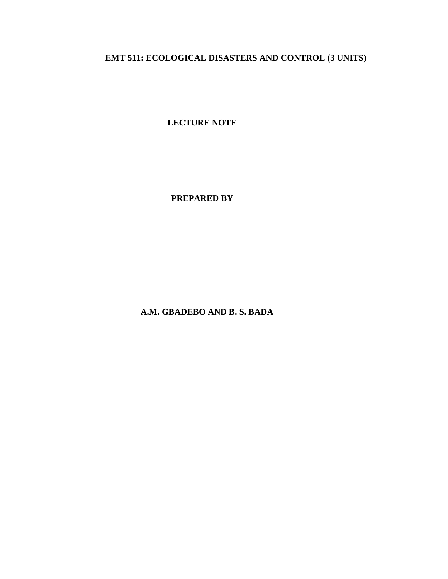# **EMT 511: ECOLOGICAL DISASTERS AND CONTROL (3 UNITS)**

**LECTURE NOTE**

 **PREPARED BY**

 **A.M. GBADEBO AND B. S. BADA**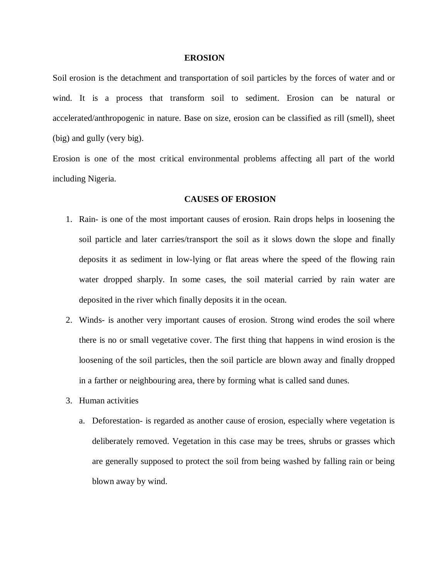#### **EROSION**

Soil erosion is the detachment and transportation of soil particles by the forces of water and or wind. It is a process that transform soil to sediment. Erosion can be natural or accelerated/anthropogenic in nature. Base on size, erosion can be classified as rill (smell), sheet (big) and gully (very big).

Erosion is one of the most critical environmental problems affecting all part of the world including Nigeria.

#### **CAUSES OF EROSION**

- 1. Rain- is one of the most important causes of erosion. Rain drops helps in loosening the soil particle and later carries/transport the soil as it slows down the slope and finally deposits it as sediment in low-lying or flat areas where the speed of the flowing rain water dropped sharply. In some cases, the soil material carried by rain water are deposited in the river which finally deposits it in the ocean.
- 2. Winds- is another very important causes of erosion. Strong wind erodes the soil where there is no or small vegetative cover. The first thing that happens in wind erosion is the loosening of the soil particles, then the soil particle are blown away and finally dropped in a farther or neighbouring area, there by forming what is called sand dunes.
- 3. Human activities
	- a. Deforestation- is regarded as another cause of erosion, especially where vegetation is deliberately removed. Vegetation in this case may be trees, shrubs or grasses which are generally supposed to protect the soil from being washed by falling rain or being blown away by wind.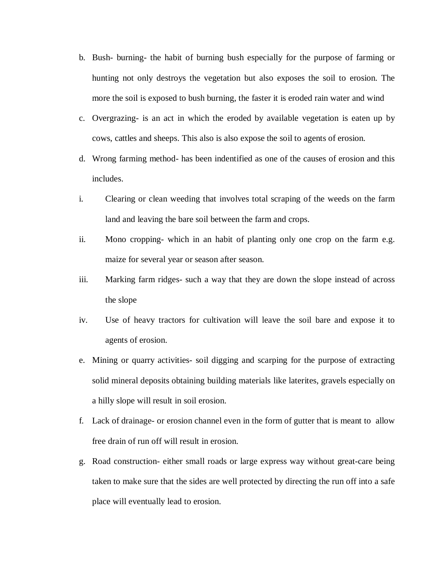- b. Bush- burning- the habit of burning bush especially for the purpose of farming or hunting not only destroys the vegetation but also exposes the soil to erosion. The more the soil is exposed to bush burning, the faster it is eroded rain water and wind
- c. Overgrazing- is an act in which the eroded by available vegetation is eaten up by cows, cattles and sheeps. This also is also expose the soil to agents of erosion.
- d. Wrong farming method- has been indentified as one of the causes of erosion and this includes.
- i. Clearing or clean weeding that involves total scraping of the weeds on the farm land and leaving the bare soil between the farm and crops.
- ii. Mono cropping- which in an habit of planting only one crop on the farm e.g. maize for several year or season after season.
- iii. Marking farm ridges- such a way that they are down the slope instead of across the slope
- iv. Use of heavy tractors for cultivation will leave the soil bare and expose it to agents of erosion.
- e. Mining or quarry activities- soil digging and scarping for the purpose of extracting solid mineral deposits obtaining building materials like laterites, gravels especially on a hilly slope will result in soil erosion.
- f. Lack of drainage- or erosion channel even in the form of gutter that is meant to allow free drain of run off will result in erosion.
- g. Road construction- either small roads or large express way without great-care being taken to make sure that the sides are well protected by directing the run off into a safe place will eventually lead to erosion.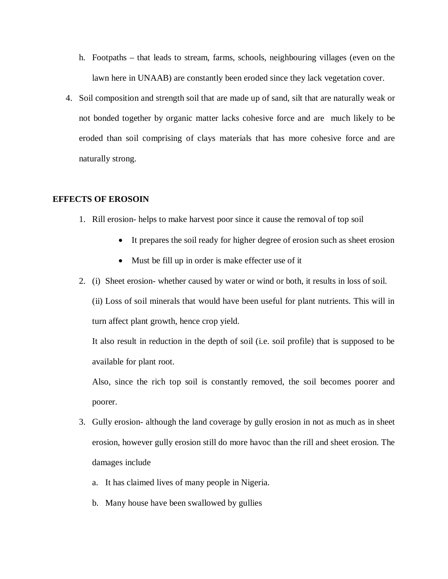- h. Footpaths that leads to stream, farms, schools, neighbouring villages (even on the lawn here in UNAAB) are constantly been eroded since they lack vegetation cover.
- 4. Soil composition and strength soil that are made up of sand, silt that are naturally weak or not bonded together by organic matter lacks cohesive force and are much likely to be eroded than soil comprising of clays materials that has more cohesive force and are naturally strong.

# **EFFECTS OF EROSOIN**

- 1. Rill erosion- helps to make harvest poor since it cause the removal of top soil
	- It prepares the soil ready for higher degree of erosion such as sheet erosion
	- Must be fill up in order is make effecter use of it
- 2. (i) Sheet erosion- whether caused by water or wind or both, it results in loss of soil.

(ii) Loss of soil minerals that would have been useful for plant nutrients. This will in turn affect plant growth, hence crop yield.

It also result in reduction in the depth of soil (i.e. soil profile) that is supposed to be available for plant root.

Also, since the rich top soil is constantly removed, the soil becomes poorer and poorer.

- 3. Gully erosion- although the land coverage by gully erosion in not as much as in sheet erosion, however gully erosion still do more havoc than the rill and sheet erosion. The damages include
	- a. It has claimed lives of many people in Nigeria.
	- b. Many house have been swallowed by gullies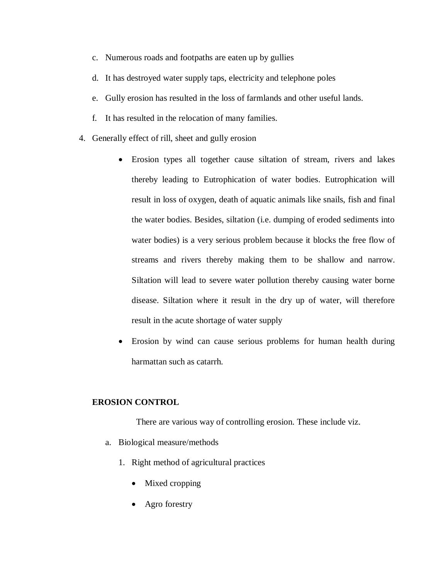- c. Numerous roads and footpaths are eaten up by gullies
- d. It has destroyed water supply taps, electricity and telephone poles
- e. Gully erosion has resulted in the loss of farmlands and other useful lands.
- f. It has resulted in the relocation of many families.
- 4. Generally effect of rill, sheet and gully erosion
	- Erosion types all together cause siltation of stream, rivers and lakes thereby leading to Eutrophication of water bodies. Eutrophication will result in loss of oxygen, death of aquatic animals like snails, fish and final the water bodies. Besides, siltation (i.e. dumping of eroded sediments into water bodies) is a very serious problem because it blocks the free flow of streams and rivers thereby making them to be shallow and narrow. Siltation will lead to severe water pollution thereby causing water borne disease. Siltation where it result in the dry up of water, will therefore result in the acute shortage of water supply
	- Erosion by wind can cause serious problems for human health during harmattan such as catarrh.

# **EROSION CONTROL**

There are various way of controlling erosion. These include viz.

- a. Biological measure/methods
	- 1. Right method of agricultural practices
		- Mixed cropping
		- Agro forestry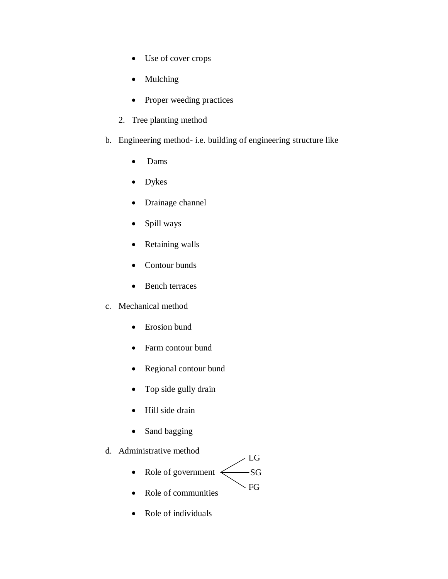- Use of cover crops
- Mulching
- Proper weeding practices
- 2. Tree planting method
- b. Engineering method- i.e. building of engineering structure like
	- Dams
	- Dykes
	- Drainage channel
	- Spill ways
	- Retaining walls
	- Contour bunds
	- Bench terraces
- c. Mechanical method
	- Erosion bund
	- Farm contour bund
	- Regional contour bund
	- Top side gully drain
	- Hill side drain
	- Sand bagging
- d. Administrative method
	- Role of government  $\leq$  $-SG$ FG LG
	- Role of communities
	- Role of individuals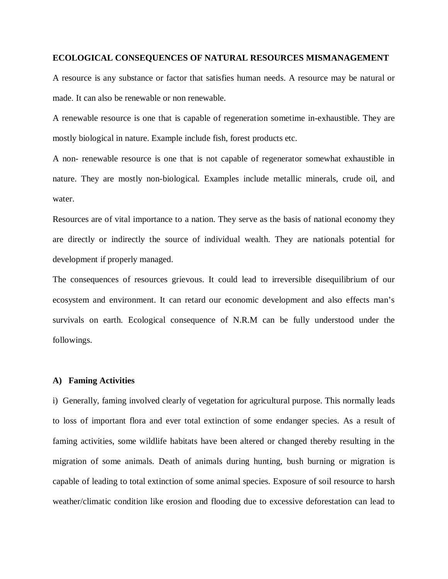#### **ECOLOGICAL CONSEQUENCES OF NATURAL RESOURCES MISMANAGEMENT**

A resource is any substance or factor that satisfies human needs. A resource may be natural or made. It can also be renewable or non renewable.

A renewable resource is one that is capable of regeneration sometime in-exhaustible. They are mostly biological in nature. Example include fish, forest products etc.

A non- renewable resource is one that is not capable of regenerator somewhat exhaustible in nature. They are mostly non-biological. Examples include metallic minerals, crude oil, and water.

Resources are of vital importance to a nation. They serve as the basis of national economy they are directly or indirectly the source of individual wealth. They are nationals potential for development if properly managed.

The consequences of resources grievous. It could lead to irreversible disequilibrium of our ecosystem and environment. It can retard our economic development and also effects man's survivals on earth. Ecological consequence of N.R.M can be fully understood under the followings.

#### **A) Faming Activities**

i) Generally, faming involved clearly of vegetation for agricultural purpose. This normally leads to loss of important flora and ever total extinction of some endanger species. As a result of faming activities, some wildlife habitats have been altered or changed thereby resulting in the migration of some animals. Death of animals during hunting, bush burning or migration is capable of leading to total extinction of some animal species. Exposure of soil resource to harsh weather/climatic condition like erosion and flooding due to excessive deforestation can lead to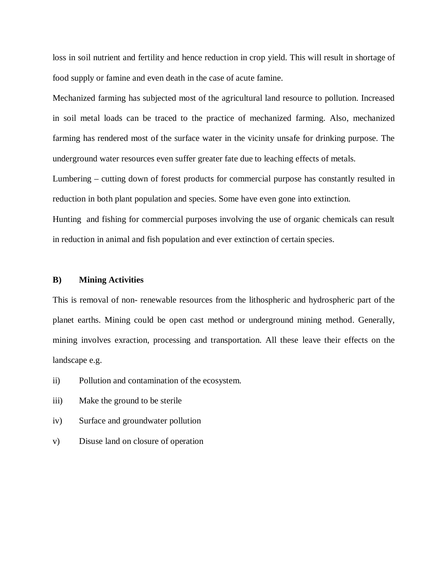loss in soil nutrient and fertility and hence reduction in crop yield. This will result in shortage of food supply or famine and even death in the case of acute famine.

Mechanized farming has subjected most of the agricultural land resource to pollution. Increased in soil metal loads can be traced to the practice of mechanized farming. Also, mechanized farming has rendered most of the surface water in the vicinity unsafe for drinking purpose. The underground water resources even suffer greater fate due to leaching effects of metals.

Lumbering – cutting down of forest products for commercial purpose has constantly resulted in reduction in both plant population and species. Some have even gone into extinction.

Hunting and fishing for commercial purposes involving the use of organic chemicals can result in reduction in animal and fish population and ever extinction of certain species.

## **B) Mining Activities**

This is removal of non- renewable resources from the lithospheric and hydrospheric part of the planet earths. Mining could be open cast method or underground mining method. Generally, mining involves exraction, processing and transportation. All these leave their effects on the landscape e.g.

- ii) Pollution and contamination of the ecosystem.
- iii) Make the ground to be sterile
- iv) Surface and groundwater pollution
- v) Disuse land on closure of operation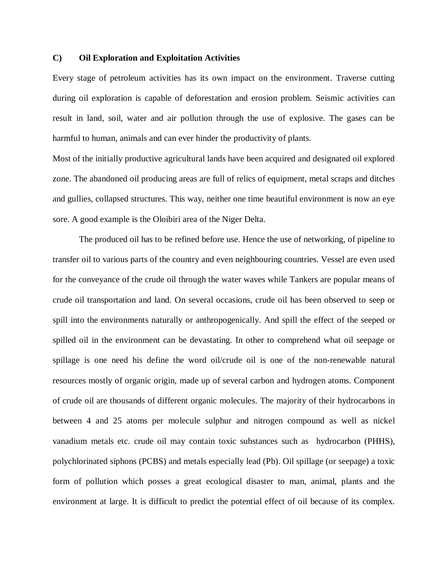## **C) Oil Exploration and Exploitation Activities**

Every stage of petroleum activities has its own impact on the environment. Traverse cutting during oil exploration is capable of deforestation and erosion problem. Seismic activities can result in land, soil, water and air pollution through the use of explosive. The gases can be harmful to human, animals and can ever hinder the productivity of plants.

Most of the initially productive agricultural lands have been acquired and designated oil explored zone. The abandoned oil producing areas are full of relics of equipment, metal scraps and ditches and gullies, collapsed structures. This way, neither one time beautiful environment is now an eye sore. A good example is the Oloibiri area of the Niger Delta.

The produced oil has to be refined before use. Hence the use of networking, of pipeline to transfer oil to various parts of the country and even neighbouring countries. Vessel are even used for the conveyance of the crude oil through the water waves while Tankers are popular means of crude oil transportation and land. On several occasions, crude oil has been observed to seep or spill into the environments naturally or anthropogenically. And spill the effect of the seeped or spilled oil in the environment can be devastating. In other to comprehend what oil seepage or spillage is one need his define the word oil/crude oil is one of the non-renewable natural resources mostly of organic origin, made up of several carbon and hydrogen atoms. Component of crude oil are thousands of different organic molecules. The majority of their hydrocarbons in between 4 and 25 atoms per molecule sulphur and nitrogen compound as well as nickel vanadium metals etc. crude oil may contain toxic substances such as hydrocarbon (PHHS), polychlorinated siphons (PCBS) and metals especially lead (Pb). Oil spillage (or seepage) a toxic form of pollution which posses a great ecological disaster to man, animal, plants and the environment at large. It is difficult to predict the potential effect of oil because of its complex.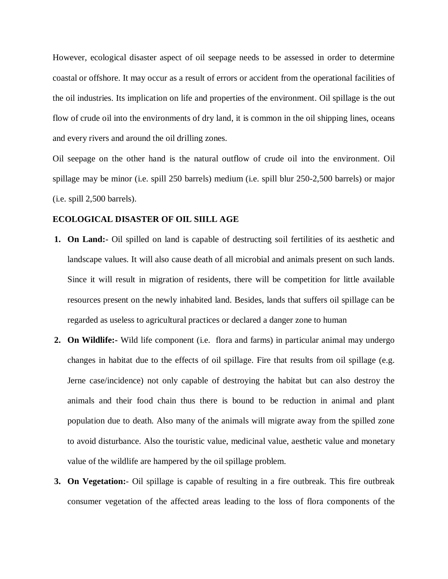However, ecological disaster aspect of oil seepage needs to be assessed in order to determine coastal or offshore. It may occur as a result of errors or accident from the operational facilities of the oil industries. Its implication on life and properties of the environment. Oil spillage is the out flow of crude oil into the environments of dry land, it is common in the oil shipping lines, oceans and every rivers and around the oil drilling zones.

Oil seepage on the other hand is the natural outflow of crude oil into the environment. Oil spillage may be minor (i.e. spill 250 barrels) medium (i.e. spill blur 250-2,500 barrels) or major (i.e. spill 2,500 barrels).

# **ECOLOGICAL DISASTER OF OIL SIILL AGE**

- **1. On Land:-** Oil spilled on land is capable of destructing soil fertilities of its aesthetic and landscape values. It will also cause death of all microbial and animals present on such lands. Since it will result in migration of residents, there will be competition for little available resources present on the newly inhabited land. Besides, lands that suffers oil spillage can be regarded as useless to agricultural practices or declared a danger zone to human
- **2. On Wildlife:-** Wild life component (i.e. flora and farms) in particular animal may undergo changes in habitat due to the effects of oil spillage. Fire that results from oil spillage (e.g. Jerne case/incidence) not only capable of destroying the habitat but can also destroy the animals and their food chain thus there is bound to be reduction in animal and plant population due to death. Also many of the animals will migrate away from the spilled zone to avoid disturbance. Also the touristic value, medicinal value, aesthetic value and monetary value of the wildlife are hampered by the oil spillage problem.
- **3. On Vegetation:** Oil spillage is capable of resulting in a fire outbreak. This fire outbreak consumer vegetation of the affected areas leading to the loss of flora components of the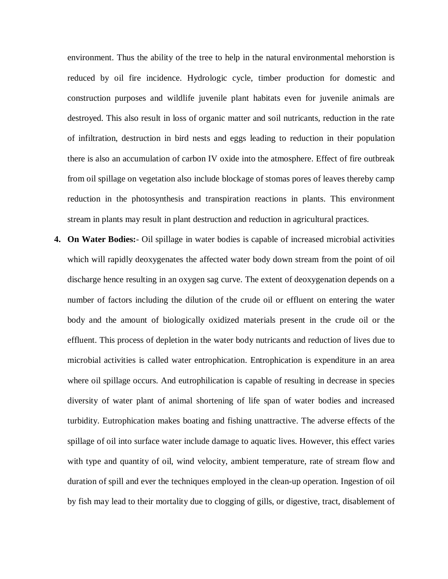environment. Thus the ability of the tree to help in the natural environmental mehorstion is reduced by oil fire incidence. Hydrologic cycle, timber production for domestic and construction purposes and wildlife juvenile plant habitats even for juvenile animals are destroyed. This also result in loss of organic matter and soil nutricants, reduction in the rate of infiltration, destruction in bird nests and eggs leading to reduction in their population there is also an accumulation of carbon IV oxide into the atmosphere. Effect of fire outbreak from oil spillage on vegetation also include blockage of stomas pores of leaves thereby camp reduction in the photosynthesis and transpiration reactions in plants. This environment stream in plants may result in plant destruction and reduction in agricultural practices.

**4. On Water Bodies:**- Oil spillage in water bodies is capable of increased microbial activities which will rapidly deoxygenates the affected water body down stream from the point of oil discharge hence resulting in an oxygen sag curve. The extent of deoxygenation depends on a number of factors including the dilution of the crude oil or effluent on entering the water body and the amount of biologically oxidized materials present in the crude oil or the effluent. This process of depletion in the water body nutricants and reduction of lives due to microbial activities is called water entrophication. Entrophication is expenditure in an area where oil spillage occurs. And eutrophilication is capable of resulting in decrease in species diversity of water plant of animal shortening of life span of water bodies and increased turbidity. Eutrophication makes boating and fishing unattractive. The adverse effects of the spillage of oil into surface water include damage to aquatic lives. However, this effect varies with type and quantity of oil, wind velocity, ambient temperature, rate of stream flow and duration of spill and ever the techniques employed in the clean-up operation. Ingestion of oil by fish may lead to their mortality due to clogging of gills, or digestive, tract, disablement of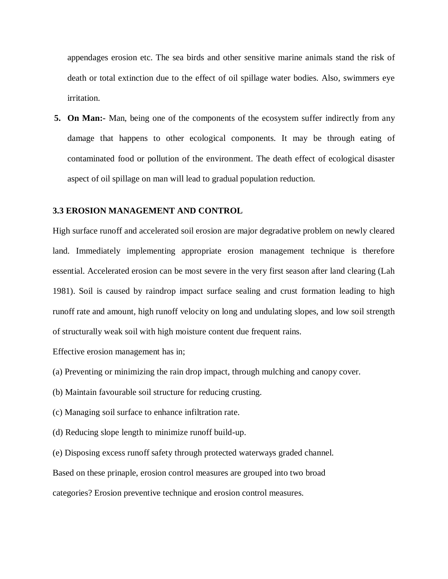appendages erosion etc. The sea birds and other sensitive marine animals stand the risk of death or total extinction due to the effect of oil spillage water bodies. Also, swimmers eye irritation.

**5. On Man:-** Man, being one of the components of the ecosystem suffer indirectly from any damage that happens to other ecological components. It may be through eating of contaminated food or pollution of the environment. The death effect of ecological disaster aspect of oil spillage on man will lead to gradual population reduction.

# **3.3 EROSION MANAGEMENT AND CONTROL**

High surface runoff and accelerated soil erosion are major degradative problem on newly cleared land. Immediately implementing appropriate erosion management technique is therefore essential. Accelerated erosion can be most severe in the very first season after land clearing (Lah 1981). Soil is caused by raindrop impact surface sealing and crust formation leading to high runoff rate and amount, high runoff velocity on long and undulating slopes, and low soil strength of structurally weak soil with high moisture content due frequent rains.

Effective erosion management has in;

- (a) Preventing or minimizing the rain drop impact, through mulching and canopy cover.
- (b) Maintain favourable soil structure for reducing crusting.
- (c) Managing soil surface to enhance infiltration rate.
- (d) Reducing slope length to minimize runoff build-up.
- (e) Disposing excess runoff safety through protected waterways graded channel.

Based on these prinaple, erosion control measures are grouped into two broad

categories? Erosion preventive technique and erosion control measures.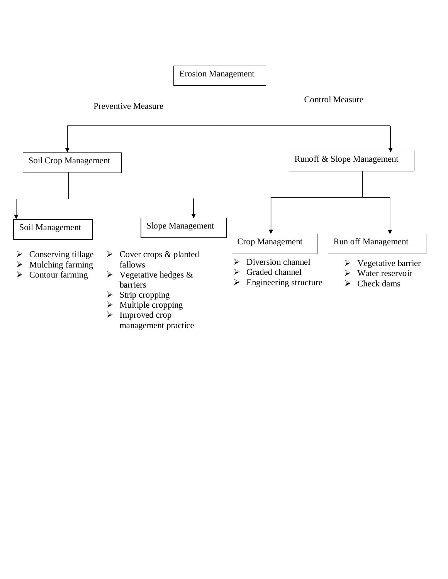

management practice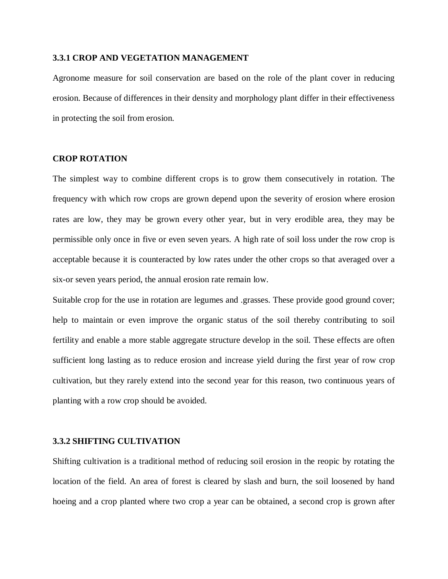## **3.3.1 CROP AND VEGETATION MANAGEMENT**

Agronome measure for soil conservation are based on the role of the plant cover in reducing erosion. Because of differences in their density and morphology plant differ in their effectiveness in protecting the soil from erosion.

# **CROP ROTATION**

The simplest way to combine different crops is to grow them consecutively in rotation. The frequency with which row crops are grown depend upon the severity of erosion where erosion rates are low, they may be grown every other year, but in very erodible area, they may be permissible only once in five or even seven years. A high rate of soil loss under the row crop is acceptable because it is counteracted by low rates under the other crops so that averaged over a six-or seven years period, the annual erosion rate remain low.

Suitable crop for the use in rotation are legumes and .grasses. These provide good ground cover; help to maintain or even improve the organic status of the soil thereby contributing to soil fertility and enable a more stable aggregate structure develop in the soil. These effects are often sufficient long lasting as to reduce erosion and increase yield during the first year of row crop cultivation, but they rarely extend into the second year for this reason, two continuous years of planting with a row crop should be avoided.

#### **3.3.2 SHIFTING CULTIVATION**

Shifting cultivation is a traditional method of reducing soil erosion in the reopic by rotating the location of the field. An area of forest is cleared by slash and burn, the soil loosened by hand hoeing and a crop planted where two crop a year can be obtained, a second crop is grown after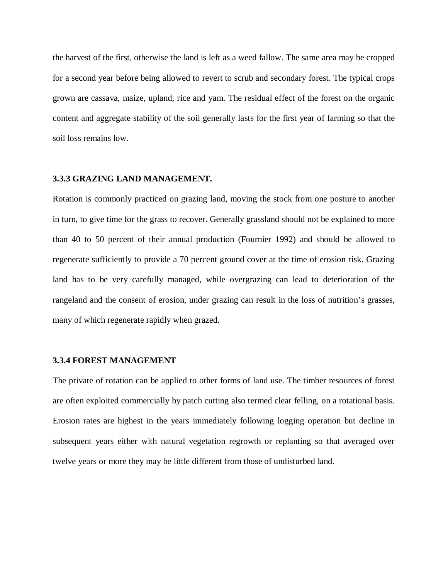the harvest of the first, otherwise the land is left as a weed fallow. The same area may be cropped for a second year before being allowed to revert to scrub and secondary forest. The typical crops grown are cassava, maize, upland, rice and yam. The residual effect of the forest on the organic content and aggregate stability of the soil generally lasts for the first year of farming so that the soil loss remains low.

# **3.3.3 GRAZING LAND MANAGEMENT.**

Rotation is commonly practiced on grazing land, moving the stock from one posture to another in turn, to give time for the grass to recover. Generally grassland should not be explained to more than 40 to 50 percent of their annual production (Fournier 1992) and should be allowed to regenerate sufficiently to provide a 70 percent ground cover at the time of erosion risk. Grazing land has to be very carefully managed, while overgrazing can lead to deterioration of the rangeland and the consent of erosion, under grazing can result in the loss of nutrition's grasses, many of which regenerate rapidly when grazed.

#### **3.3.4 FOREST MANAGEMENT**

The private of rotation can be applied to other forms of land use. The timber resources of forest are often exploited commercially by patch cutting also termed clear felling, on a rotational basis. Erosion rates are highest in the years immediately following logging operation but decline in subsequent years either with natural vegetation regrowth or replanting so that averaged over twelve years or more they may be little different from those of undisturbed land.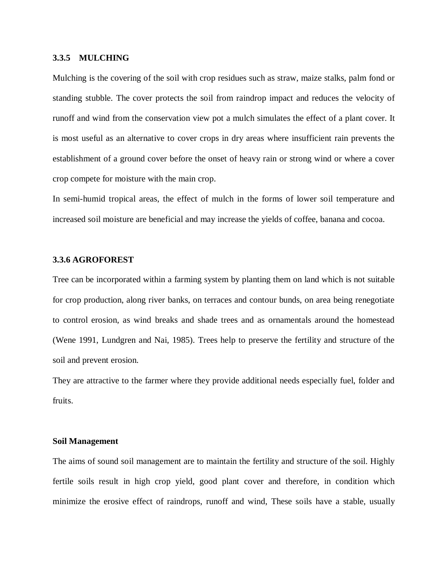## **3.3.5 MULCHING**

Mulching is the covering of the soil with crop residues such as straw, maize stalks, palm fond or standing stubble. The cover protects the soil from raindrop impact and reduces the velocity of runoff and wind from the conservation view pot a mulch simulates the effect of a plant cover. It is most useful as an alternative to cover crops in dry areas where insufficient rain prevents the establishment of a ground cover before the onset of heavy rain or strong wind or where a cover crop compete for moisture with the main crop.

In semi-humid tropical areas, the effect of mulch in the forms of lower soil temperature and increased soil moisture are beneficial and may increase the yields of coffee, banana and cocoa.

# **3.3.6 AGROFOREST**

Tree can be incorporated within a farming system by planting them on land which is not suitable for crop production, along river banks, on terraces and contour bunds, on area being renegotiate to control erosion, as wind breaks and shade trees and as ornamentals around the homestead (Wene 1991, Lundgren and Nai, 1985). Trees help to preserve the fertility and structure of the soil and prevent erosion.

They are attractive to the farmer where they provide additional needs especially fuel, folder and fruits.

#### **Soil Management**

The aims of sound soil management are to maintain the fertility and structure of the soil. Highly fertile soils result in high crop yield, good plant cover and therefore, in condition which minimize the erosive effect of raindrops, runoff and wind, These soils have a stable, usually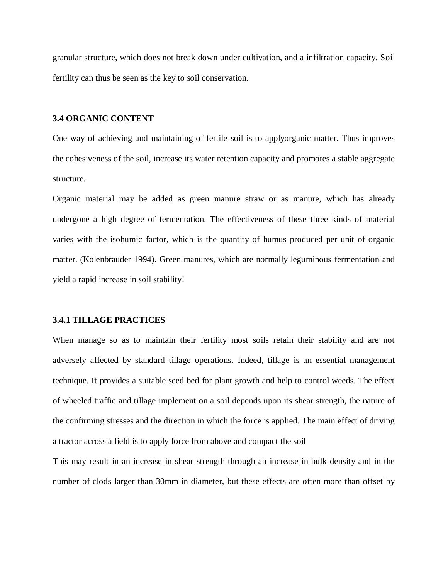granular structure, which does not break down under cultivation, and a infiltration capacity. Soil fertility can thus be seen as the key to soil conservation.

## **3.4 ORGANIC CONTENT**

One way of achieving and maintaining of fertile soil is to applyorganic matter. Thus improves the cohesiveness of the soil, increase its water retention capacity and promotes a stable aggregate structure.

Organic material may be added as green manure straw or as manure, which has already undergone a high degree of fermentation. The effectiveness of these three kinds of material varies with the isohumic factor, which is the quantity of humus produced per unit of organic matter. (Kolenbrauder 1994). Green manures, which are normally leguminous fermentation and yield a rapid increase in soil stability!

#### **3.4.1 TILLAGE PRACTICES**

When manage so as to maintain their fertility most soils retain their stability and are not adversely affected by standard tillage operations. Indeed, tillage is an essential management technique. It provides a suitable seed bed for plant growth and help to control weeds. The effect of wheeled traffic and tillage implement on a soil depends upon its shear strength, the nature of the confirming stresses and the direction in which the force is applied. The main effect of driving a tractor across a field is to apply force from above and compact the soil

This may result in an increase in shear strength through an increase in bulk density and in the number of clods larger than 30mm in diameter, but these effects are often more than offset by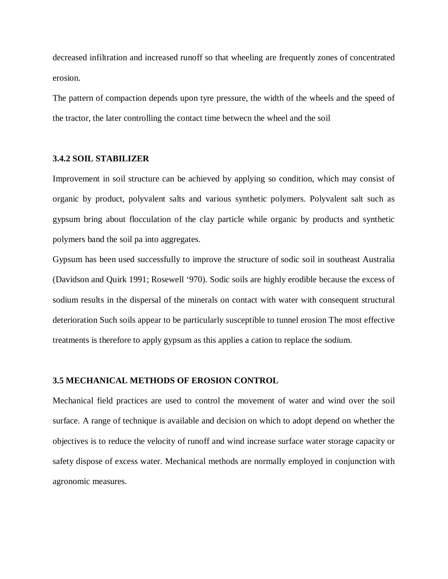decreased infiltration and increased runoff so that wheeling are frequently zones of concentrated erosion.

The pattern of compaction depends upon tyre pressure, the width of the wheels and the speed of the tractor, the later controlling the contact time betwecn the wheel and the soil

# **3.4.2 SOIL STABILIZER**

Improvement in soil structure can be achieved by applying so condition, which may consist of organic by product, polyvalent salts and various synthetic polymers. Polyvalent salt such as gypsum bring about flocculation of the clay particle while organic by products and synthetic polymers band the soil pa into aggregates.

Gypsum has been used successfully to improve the structure of sodic soil in southeast Australia (Davidson and Quirk 1991; Rosewell '970). Sodic soils are highly erodible because the excess of sodium results in the dispersal of the minerals on contact with water with consequent structural deterioration Such soils appear to be particularly susceptible to tunnel erosion The most effective treatments is therefore to apply gypsum as this applies a cation to replace the sodium.

## **3.5 MECHANICAL METHODS OF EROSION CONTROL**

Mechanical field practices are used to control the movement of water and wind over the soil surface. A range of technique is available and decision on which to adopt depend on whether the objectives is to reduce the velocity of runoff and wind increase surface water storage capacity or safety dispose of excess water. Mechanical methods are normally employed in conjunction with agronomic measures.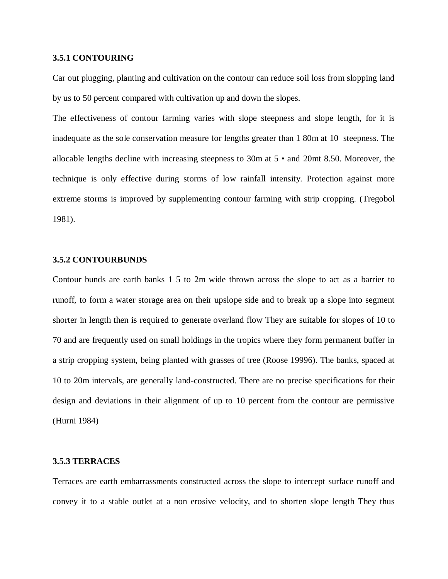## **3.5.1 CONTOURING**

Car out plugging, planting and cultivation on the contour can reduce soil loss from slopping land by us to 50 percent compared with cultivation up and down the slopes.

The effectiveness of contour farming varies with slope steepness and slope length, for it is inadequate as the sole conservation measure for lengths greater than 1 80m at 10 steepness. The allocable lengths decline with increasing steepness to 30m at 5 • and 20mt 8.50. Moreover, the technique is only effective during storms of low rainfall intensity. Protection against more extreme storms is improved by supplementing contour farming with strip cropping. (Tregobol 1981).

# **3.5.2 CONTOURBUNDS**

Contour bunds are earth banks 1 5 to 2m wide thrown across the slope to act as a barrier to runoff, to form a water storage area on their upslope side and to break up a slope into segment shorter in length then is required to generate overland flow They are suitable for slopes of 10 to 70 and are frequently used on small holdings in the tropics where they form permanent buffer in a strip cropping system, being planted with grasses of tree (Roose 19996). The banks, spaced at 10 to 20m intervals, are generally land-constructed. There are no precise specifications for their design and deviations in their alignment of up to 10 percent from the contour are permissive (Hurni 1984)

## **3.5.3 TERRACES**

Terraces are earth embarrassments constructed across the slope to intercept surface runoff and convey it to a stable outlet at a non erosive velocity, and to shorten slope length They thus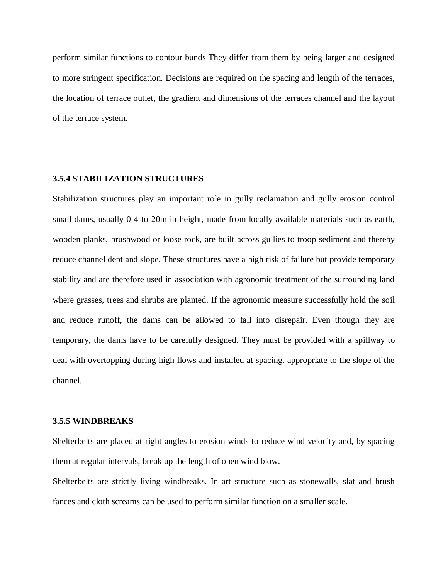perform similar functions to contour bunds They differ from them by being larger and designed to more stringent specification. Decisions are required on the spacing and length of the terraces, the location of terrace outlet, the gradient and dimensions of the terraces channel and the layout of the terrace system.

# **3.5.4 STABILIZATION STRUCTURES**

Stabilization structures play an important role in gully reclamation and gully erosion control small dams, usually 0 4 to 20m in height, made from locally available materials such as earth, wooden planks, brushwood or loose rock, are built across gullies to troop sediment and thereby reduce channel dept and slope. These structures have a high risk of failure but provide temporary stability and are therefore used in association with agronomic treatment of the surrounding land where grasses, trees and shrubs are planted. If the agronomic measure successfully hold the soil and reduce runoff, the dams can be allowed to fall into disrepair. Even though they are temporary, the dams have to be carefully designed. They must be provided with a spillway to deal with overtopping during high flows and installed at spacing. appropriate to the slope of the channel.

#### **3.5.5 WINDBREAKS**

Shelterbelts are placed at right angles to erosion winds to reduce wind velocity and, by spacing them at regular intervals, break up the length of open wind blow.

Shelterbelts are strictly living windbreaks. In art structure such as stonewalls, slat and brush fances and cloth screams can be used to perform similar function on a smaller scale.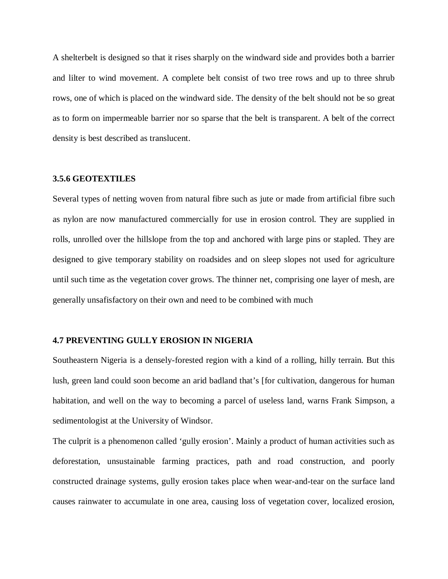A shelterbelt is designed so that it rises sharply on the windward side and provides both a barrier and lilter to wind movement. A complete belt consist of two tree rows and up to three shrub rows, one of which is placed on the windward side. The density of the belt should not be so great as to form on impermeable barrier nor so sparse that the belt is transparent. A belt of the correct density is best described as translucent.

## **3.5.6 GEOTEXTILES**

Several types of netting woven from natural fibre such as jute or made from artificial fibre such as nylon are now manufactured commercially for use in erosion control. They are supplied in rolls, unrolled over the hillslope from the top and anchored with large pins or stapled. They are designed to give temporary stability on roadsides and on sleep slopes not used for agriculture until such time as the vegetation cover grows. The thinner net, comprising one layer of mesh, are generally unsafisfactory on their own and need to be combined with much

#### **4.7 PREVENTING GULLY EROSION IN NIGERIA**

Southeastern Nigeria is a densely-forested region with a kind of a rolling, hilly terrain. But this lush, green land could soon become an arid badland that's [for cultivation, dangerous for human habitation, and well on the way to becoming a parcel of useless land, warns Frank Simpson, a sedimentologist at the University of Windsor.

The culprit is a phenomenon called 'gully erosion'. Mainly a product of human activities such as deforestation, unsustainable farming practices, path and road construction, and poorly constructed drainage systems, gully erosion takes place when wear-and-tear on the surface land causes rainwater to accumulate in one area, causing loss of vegetation cover, localized erosion,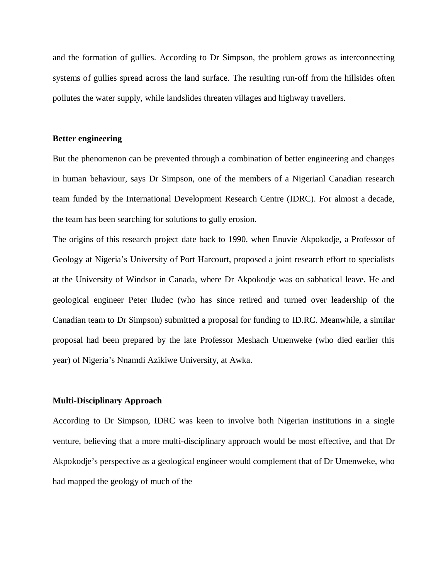and the formation of gullies. According to Dr Simpson, the problem grows as interconnecting systems of gullies spread across the land surface. The resulting run-off from the hillsides often pollutes the water supply, while landslides threaten villages and highway travellers.

# **Better engineering**

But the phenomenon can be prevented through a combination of better engineering and changes in human behaviour, says Dr Simpson, one of the members of a Nigerianl Canadian research team funded by the International Development Research Centre (IDRC). For almost a decade, the team has been searching for solutions to gully erosion.

The origins of this research project date back to 1990, when Enuvie Akpokodje, a Professor of Geology at Nigeria's University of Port Harcourt, proposed a joint research effort to specialists at the University of Windsor in Canada, where Dr Akpokodje was on sabbatical leave. He and geological engineer Peter Iludec (who has since retired and turned over leadership of the Canadian team to Dr Simpson) submitted a proposal for funding to ID.RC. Meanwhile, a similar proposal had been prepared by the late Professor Meshach Umenweke (who died earlier this year) of Nigeria's Nnamdi Azikiwe University, at Awka.

#### **Multi-Disciplinary Approach**

According to Dr Simpson, IDRC was keen to involve both Nigerian institutions in a single venture, believing that a more multi-disciplinary approach would be most effective, and that Dr Akpokodje's perspective as a geological engineer would complement that of Dr Umenweke, who had mapped the geology of much of the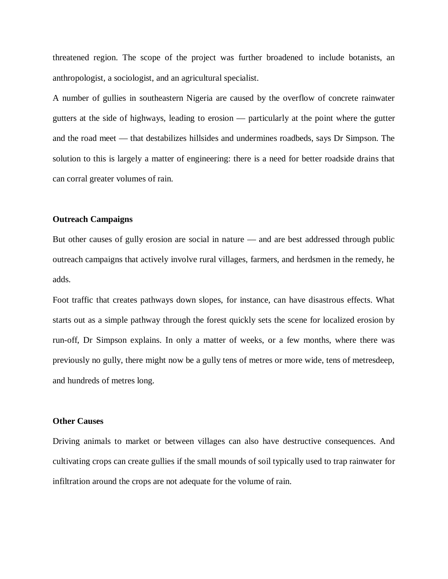threatened region. The scope of the project was further broadened to include botanists, an anthropologist, a sociologist, and an agricultural specialist.

A number of gullies in southeastern Nigeria are caused by the overflow of concrete rainwater gutters at the side of highways, leading to erosion — particularly at the point where the gutter and the road meet — that destabilizes hillsides and undermines roadbeds, says Dr Simpson. The solution to this is largely a matter of engineering: there is a need for better roadside drains that can corral greater volumes of rain.

# **Outreach Campaigns**

But other causes of gully erosion are social in nature — and are best addressed through public outreach campaigns that actively involve rural villages, farmers, and herdsmen in the remedy, he adds.

Foot traffic that creates pathways down slopes, for instance, can have disastrous effects. What starts out as a simple pathway through the forest quickly sets the scene for localized erosion by run-off, Dr Simpson explains. In only a matter of weeks, or a few months, where there was previously no gully, there might now be a gully tens of metres or more wide, tens of metresdeep, and hundreds of metres long.

# **Other Causes**

Driving animals to market or between villages can also have destructive consequences. And cultivating crops can create gullies if the small mounds of soil typically used to trap rainwater for infiltration around the crops are not adequate for the volume of rain.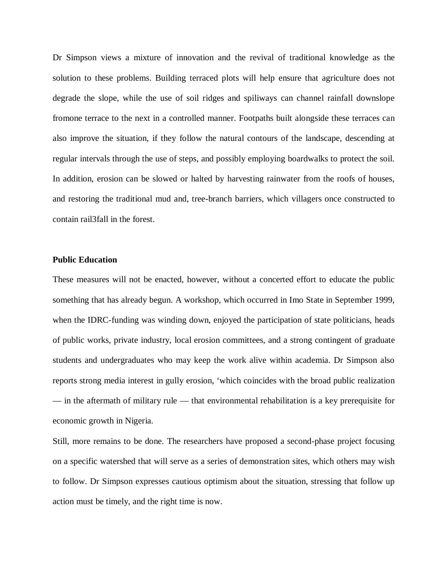Dr Simpson views a mixture of innovation and the revival of traditional knowledge as the solution to these problems. Building terraced plots will help ensure that agriculture does not degrade the slope, while the use of soil ridges and spiliways can channel rainfall downslope fromone terrace to the next in a controlled manner. Footpaths built alongside these terraces can also improve the situation, if they follow the natural contours of the landscape, descending at regular intervals through the use of steps, and possibly employing boardwalks to protect the soil. In addition, erosion can be slowed or halted by harvesting rainwater from the roofs of houses, and restoring the traditional mud and, tree-branch barriers, which villagers once constructed to contain rail3fall in the forest.

## **Public Education**

These measures will not be enacted, however, without a concerted effort to educate the public something that has already begun. A workshop, which occurred in Imo State in September 1999, when the IDRC-funding was winding down, enjoyed the participation of state politicians, heads of public works, private industry, local erosion committees, and a strong contingent of graduate students and undergraduates who may keep the work alive within academia. Dr Simpson also reports strong media interest in gully erosion, 'which coincides with the broad public realization — in the aftermath of military rule — that environmental rehabilitation is a key prerequisite for economic growth in Nigeria.

Still, more remains to be done. The researchers have proposed a second-phase project focusing on a specific watershed that will serve as a series of demonstration sites, which others may wish to follow. Dr Simpson expresses cautious optimism about the situation, stressing that follow up action must be timely, and the right time is now.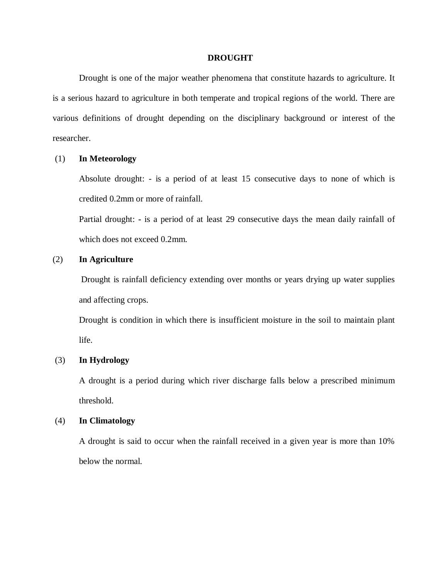#### **DROUGHT**

Drought is one of the major weather phenomena that constitute hazards to agriculture. It is a serious hazard to agriculture in both temperate and tropical regions of the world. There are various definitions of drought depending on the disciplinary background or interest of the researcher.

## (1) **In Meteorology**

Absolute drought: - is a period of at least 15 consecutive days to none of which is credited 0.2mm or more of rainfall.

Partial drought: **-** is a period of at least 29 consecutive days the mean daily rainfall of which does not exceed 0.2mm.

# (2) **In Agriculture**

Drought is rainfall deficiency extending over months or years drying up water supplies and affecting crops.

Drought is condition in which there is insufficient moisture in the soil to maintain plant life.

# (3) **In Hydrology**

A drought is a period during which river discharge falls below a prescribed minimum threshold.

#### (4) **In Climatology**

A drought is said to occur when the rainfall received in a given year is more than 10% below the normal.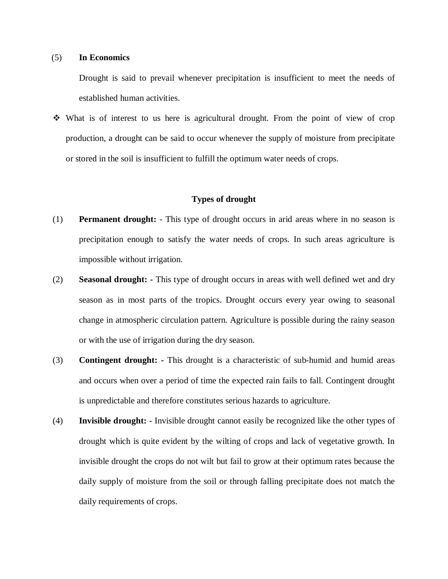# (5) **In Economics**

Drought is said to prevail whenever precipitation is insufficient to meet the needs of established human activities.

 $\div$  What is of interest to us here is agricultural drought. From the point of view of crop production, a drought can be said to occur whenever the supply of moisture from precipitate or stored in the soil is insufficient to fulfill the optimum water needs of crops.

## **Types of drought**

- (1) **Permanent drought:** This type of drought occurs in arid areas where in no season is precipitation enough to satisfy the water needs of crops. In such areas agriculture is impossible without irrigation.
- (2) **Seasonal drought: -** This type of drought occurs in areas with well defined wet and dry season as in most parts of the tropics. Drought occurs every year owing to seasonal change in atmospheric circulation pattern. Agriculture is possible during the rainy season or with the use of irrigation during the dry season.
- (3) **Contingent drought: -** This drought is a characteristic of sub-humid and humid areas and occurs when over a period of time the expected rain fails to fall. Contingent drought is unpredictable and therefore constitutes serious hazards to agriculture.
- (4) **Invisible drought: -** Invisible drought cannot easily be recognized like the other types of drought which is quite evident by the wilting of crops and lack of vegetative growth. In invisible drought the crops do not wilt but fail to grow at their optimum rates because the daily supply of moisture from the soil or through falling precipitate does not match the daily requirements of crops.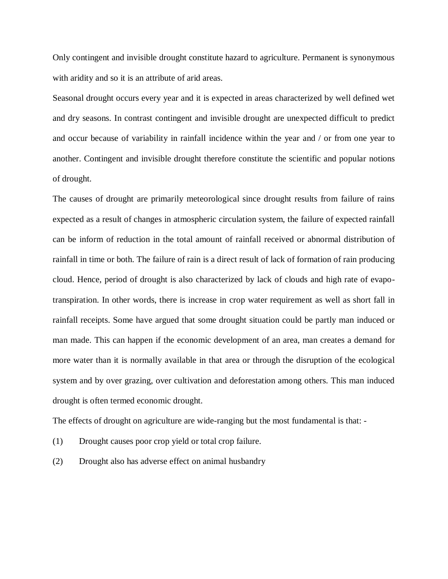Only contingent and invisible drought constitute hazard to agriculture. Permanent is synonymous with aridity and so it is an attribute of arid areas.

Seasonal drought occurs every year and it is expected in areas characterized by well defined wet and dry seasons. In contrast contingent and invisible drought are unexpected difficult to predict and occur because of variability in rainfall incidence within the year and / or from one year to another. Contingent and invisible drought therefore constitute the scientific and popular notions of drought.

The causes of drought are primarily meteorological since drought results from failure of rains expected as a result of changes in atmospheric circulation system, the failure of expected rainfall can be inform of reduction in the total amount of rainfall received or abnormal distribution of rainfall in time or both. The failure of rain is a direct result of lack of formation of rain producing cloud. Hence, period of drought is also characterized by lack of clouds and high rate of evapotranspiration. In other words, there is increase in crop water requirement as well as short fall in rainfall receipts. Some have argued that some drought situation could be partly man induced or man made. This can happen if the economic development of an area, man creates a demand for more water than it is normally available in that area or through the disruption of the ecological system and by over grazing, over cultivation and deforestation among others. This man induced drought is often termed economic drought.

The effects of drought on agriculture are wide-ranging but the most fundamental is that: -

- (1) Drought causes poor crop yield or total crop failure.
- (2) Drought also has adverse effect on animal husbandry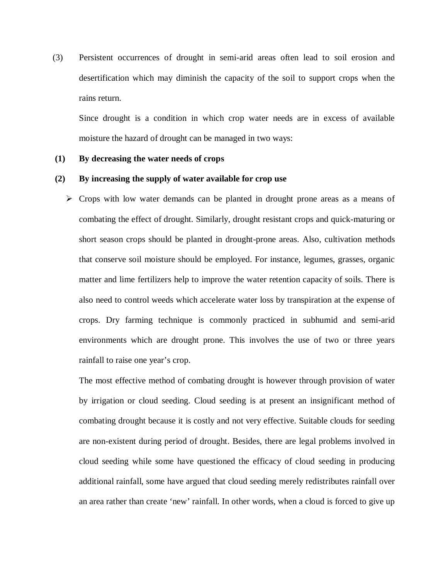(3) Persistent occurrences of drought in semi-arid areas often lead to soil erosion and desertification which may diminish the capacity of the soil to support crops when the rains return.

Since drought is a condition in which crop water needs are in excess of available moisture the hazard of drought can be managed in two ways:

## **(1) By decreasing the water needs of crops**

#### **(2) By increasing the supply of water available for crop use**

 $\triangleright$  Crops with low water demands can be planted in drought prone areas as a means of combating the effect of drought. Similarly, drought resistant crops and quick-maturing or short season crops should be planted in drought-prone areas. Also, cultivation methods that conserve soil moisture should be employed. For instance, legumes, grasses, organic matter and lime fertilizers help to improve the water retention capacity of soils. There is also need to control weeds which accelerate water loss by transpiration at the expense of crops. Dry farming technique is commonly practiced in subhumid and semi-arid environments which are drought prone. This involves the use of two or three years rainfall to raise one year's crop.

The most effective method of combating drought is however through provision of water by irrigation or cloud seeding. Cloud seeding is at present an insignificant method of combating drought because it is costly and not very effective. Suitable clouds for seeding are non-existent during period of drought. Besides, there are legal problems involved in cloud seeding while some have questioned the efficacy of cloud seeding in producing additional rainfall, some have argued that cloud seeding merely redistributes rainfall over an area rather than create 'new' rainfall. In other words, when a cloud is forced to give up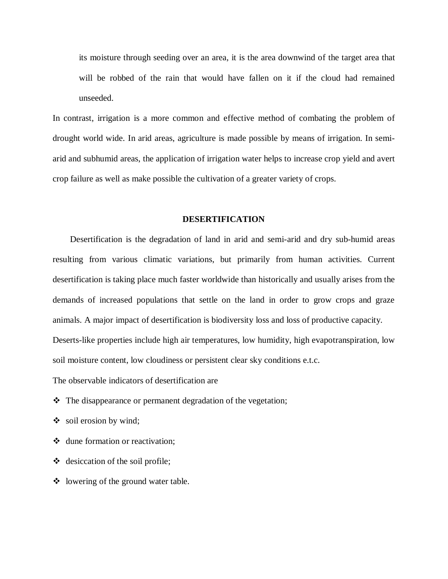its moisture through seeding over an area, it is the area downwind of the target area that will be robbed of the rain that would have fallen on it if the cloud had remained unseeded.

In contrast, irrigation is a more common and effective method of combating the problem of drought world wide. In arid areas, agriculture is made possible by means of irrigation. In semiarid and subhumid areas, the application of irrigation water helps to increase crop yield and avert crop failure as well as make possible the cultivation of a greater variety of crops.

## **DESERTIFICATION**

Desertification is the degradation of land in arid and semi-arid and dry sub-humid areas resulting from various climatic variations, but primarily from human activities. Current desertification is taking place much faster worldwide than historically and usually arises from the demands of increased populations that settle on the land in order to grow crops and graze animals. A major impact of desertification is biodiversity loss and loss of productive capacity. Deserts-like properties include high air temperatures, low humidity, high evapotranspiration, low

soil moisture content, low cloudiness or persistent clear sky conditions e.t.c.

The observable indicators of desertification are

- The disappearance or permanent degradation of the vegetation;
- $\bullet$  soil erosion by wind;
- dune formation or reactivation;
- $\triangleleft$  desiccation of the soil profile;
- $\triangleleft$  lowering of the ground water table.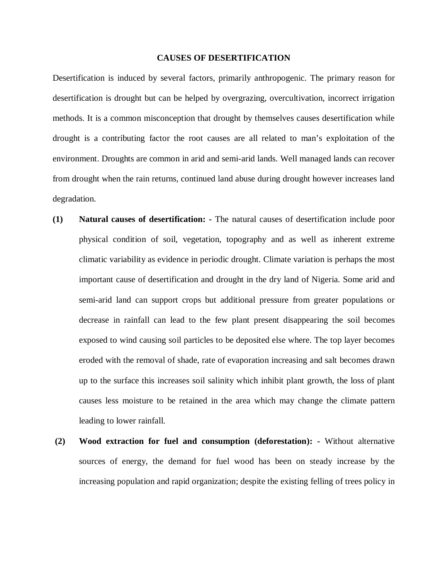#### **CAUSES OF DESERTIFICATION**

Desertification is induced by several factors, primarily anthropogenic. The primary reason for desertification is drought but can be helped by overgrazing, overcultivation, incorrect irrigation methods. It is a common misconception that drought by themselves causes desertification while drought is a contributing factor the root causes are all related to man's exploitation of the environment. Droughts are common in arid and semi-arid lands. Well managed lands can recover from drought when the rain returns, continued land abuse during drought however increases land degradation.

- **(1) Natural causes of desertification: -** The natural causes of desertification include poor physical condition of soil, vegetation, topography and as well as inherent extreme climatic variability as evidence in periodic drought. Climate variation is perhaps the most important cause of desertification and drought in the dry land of Nigeria. Some arid and semi-arid land can support crops but additional pressure from greater populations or decrease in rainfall can lead to the few plant present disappearing the soil becomes exposed to wind causing soil particles to be deposited else where. The top layer becomes eroded with the removal of shade, rate of evaporation increasing and salt becomes drawn up to the surface this increases soil salinity which inhibit plant growth, the loss of plant causes less moisture to be retained in the area which may change the climate pattern leading to lower rainfall.
- **(2) Wood extraction for fuel and consumption (deforestation): -** Without alternative sources of energy, the demand for fuel wood has been on steady increase by the increasing population and rapid organization; despite the existing felling of trees policy in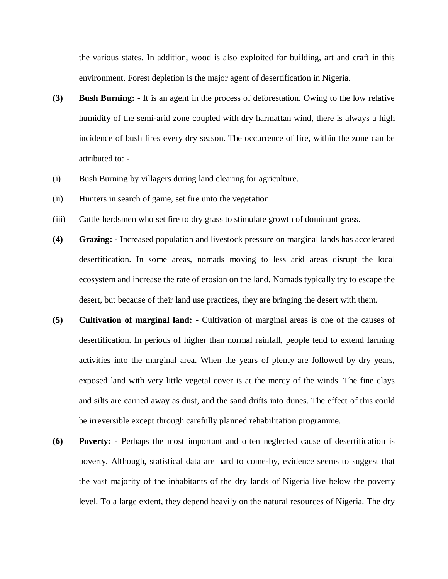the various states. In addition, wood is also exploited for building, art and craft in this environment. Forest depletion is the major agent of desertification in Nigeria.

- **(3) Bush Burning: -** It is an agent in the process of deforestation. Owing to the low relative humidity of the semi-arid zone coupled with dry harmattan wind, there is always a high incidence of bush fires every dry season. The occurrence of fire, within the zone can be attributed to: -
- (i) Bush Burning by villagers during land clearing for agriculture.
- (ii) Hunters in search of game, set fire unto the vegetation.
- (iii) Cattle herdsmen who set fire to dry grass to stimulate growth of dominant grass.
- **(4) Grazing: -** Increased population and livestock pressure on marginal lands has accelerated desertification. In some areas, nomads moving to less arid areas disrupt the local ecosystem and increase the rate of erosion on the land. Nomads typically try to escape the desert, but because of their land use practices, they are bringing the desert with them.
- **(5) Cultivation of marginal land: -** Cultivation of marginal areas is one of the causes of desertification. In periods of higher than normal rainfall, people tend to extend farming activities into the marginal area. When the years of plenty are followed by dry years, exposed land with very little vegetal cover is at the mercy of the winds. The fine clays and silts are carried away as dust, and the sand drifts into dunes. The effect of this could be irreversible except through carefully planned rehabilitation programme.
- **(6) Poverty: -** Perhaps the most important and often neglected cause of desertification is poverty. Although, statistical data are hard to come-by, evidence seems to suggest that the vast majority of the inhabitants of the dry lands of Nigeria live below the poverty level. To a large extent, they depend heavily on the natural resources of Nigeria. The dry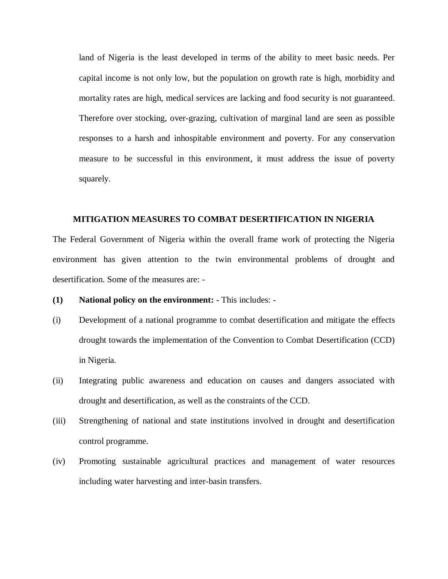land of Nigeria is the least developed in terms of the ability to meet basic needs. Per capital income is not only low, but the population on growth rate is high, morbidity and mortality rates are high, medical services are lacking and food security is not guaranteed. Therefore over stocking, over-grazing, cultivation of marginal land are seen as possible responses to a harsh and inhospitable environment and poverty. For any conservation measure to be successful in this environment, it must address the issue of poverty squarely.

# **MITIGATION MEASURES TO COMBAT DESERTIFICATION IN NIGERIA**

The Federal Government of Nigeria within the overall frame work of protecting the Nigeria environment has given attention to the twin environmental problems of drought and desertification. Some of the measures are: -

- **(1) National policy on the environment: -** This includes: -
- (i) Development of a national programme to combat desertification and mitigate the effects drought towards the implementation of the Convention to Combat Desertification (CCD) in Nigeria.
- (ii) Integrating public awareness and education on causes and dangers associated with drought and desertification, as well as the constraints of the CCD.
- (iii) Strengthening of national and state institutions involved in drought and desertification control programme.
- (iv) Promoting sustainable agricultural practices and management of water resources including water harvesting and inter-basin transfers.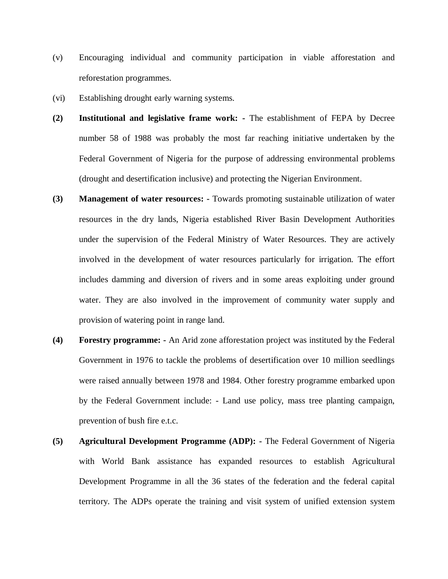- (v) Encouraging individual and community participation in viable afforestation and reforestation programmes.
- (vi) Establishing drought early warning systems.
- **(2) Institutional and legislative frame work: -** The establishment of FEPA by Decree number 58 of 1988 was probably the most far reaching initiative undertaken by the Federal Government of Nigeria for the purpose of addressing environmental problems (drought and desertification inclusive) and protecting the Nigerian Environment.
- **(3) Management of water resources: -** Towards promoting sustainable utilization of water resources in the dry lands, Nigeria established River Basin Development Authorities under the supervision of the Federal Ministry of Water Resources. They are actively involved in the development of water resources particularly for irrigation. The effort includes damming and diversion of rivers and in some areas exploiting under ground water. They are also involved in the improvement of community water supply and provision of watering point in range land.
- **(4) Forestry programme: -** An Arid zone afforestation project was instituted by the Federal Government in 1976 to tackle the problems of desertification over 10 million seedlings were raised annually between 1978 and 1984. Other forestry programme embarked upon by the Federal Government include: - Land use policy, mass tree planting campaign, prevention of bush fire e.t.c.
- **(5) Agricultural Development Programme (ADP): -** The Federal Government of Nigeria with World Bank assistance has expanded resources to establish Agricultural Development Programme in all the 36 states of the federation and the federal capital territory. The ADPs operate the training and visit system of unified extension system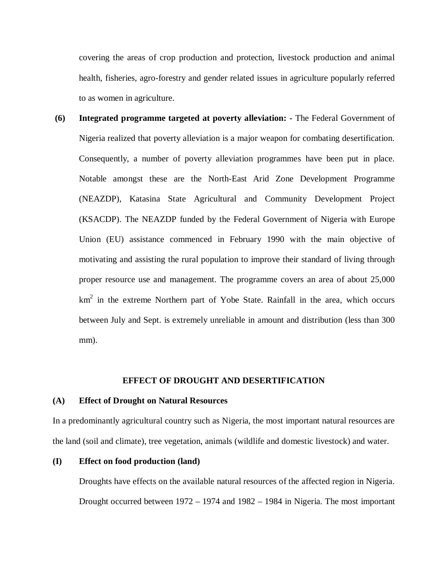covering the areas of crop production and protection, livestock production and animal health, fisheries, agro-forestry and gender related issues in agriculture popularly referred to as women in agriculture.

**(6) Integrated programme targeted at poverty alleviation: -** The Federal Government of Nigeria realized that poverty alleviation is a major weapon for combating desertification. Consequently, a number of poverty alleviation programmes have been put in place. Notable amongst these are the North-East Arid Zone Development Programme (NEAZDP), Katasina State Agricultural and Community Development Project (KSACDP). The NEAZDP funded by the Federal Government of Nigeria with Europe Union (EU) assistance commenced in February 1990 with the main objective of motivating and assisting the rural population to improve their standard of living through proper resource use and management. The programme covers an area of about 25,000  $km<sup>2</sup>$  in the extreme Northern part of Yobe State. Rainfall in the area, which occurs between July and Sept. is extremely unreliable in amount and distribution (less than 300 mm).

#### **EFFECT OF DROUGHT AND DESERTIFICATION**

#### **(A) Effect of Drought on Natural Resources**

In a predominantly agricultural country such as Nigeria, the most important natural resources are the land (soil and climate), tree vegetation, animals (wildlife and domestic livestock) and water.

#### **(I) Effect on food production (land)**

Droughts have effects on the available natural resources of the affected region in Nigeria. Drought occurred between 1972 – 1974 and 1982 – 1984 in Nigeria. The most important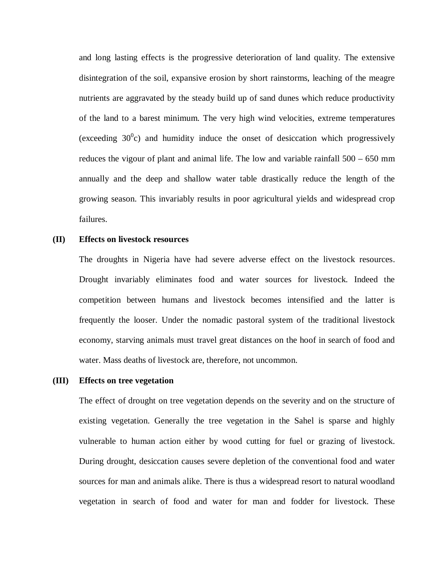and long lasting effects is the progressive deterioration of land quality. The extensive disintegration of the soil, expansive erosion by short rainstorms, leaching of the meagre nutrients are aggravated by the steady build up of sand dunes which reduce productivity of the land to a barest minimum. The very high wind velocities, extreme temperatures (exceeding  $30^{\circ}$ c) and humidity induce the onset of desiccation which progressively reduces the vigour of plant and animal life. The low and variable rainfall 500 – 650 mm annually and the deep and shallow water table drastically reduce the length of the growing season. This invariably results in poor agricultural yields and widespread crop failures.

#### **(II) Effects on livestock resources**

The droughts in Nigeria have had severe adverse effect on the livestock resources. Drought invariably eliminates food and water sources for livestock. Indeed the competition between humans and livestock becomes intensified and the latter is frequently the looser. Under the nomadic pastoral system of the traditional livestock economy, starving animals must travel great distances on the hoof in search of food and water. Mass deaths of livestock are, therefore, not uncommon.

#### **(III) Effects on tree vegetation**

The effect of drought on tree vegetation depends on the severity and on the structure of existing vegetation. Generally the tree vegetation in the Sahel is sparse and highly vulnerable to human action either by wood cutting for fuel or grazing of livestock. During drought, desiccation causes severe depletion of the conventional food and water sources for man and animals alike. There is thus a widespread resort to natural woodland vegetation in search of food and water for man and fodder for livestock. These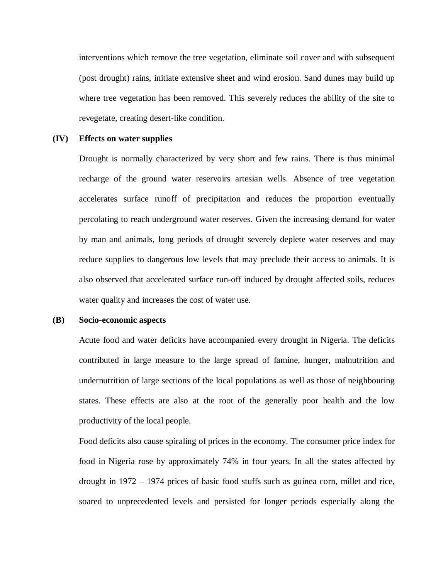interventions which remove the tree vegetation, eliminate soil cover and with subsequent (post drought) rains, initiate extensive sheet and wind erosion. Sand dunes may build up where tree vegetation has been removed. This severely reduces the ability of the site to revegetate, creating desert-like condition.

## **(IV) Effects on water supplies**

Drought is normally characterized by very short and few rains. There is thus minimal recharge of the ground water reservoirs artesian wells. Absence of tree vegetation accelerates surface runoff of precipitation and reduces the proportion eventually percolating to reach underground water reserves. Given the increasing demand for water by man and animals, long periods of drought severely deplete water reserves and may reduce supplies to dangerous low levels that may preclude their access to animals. It is also observed that accelerated surface run-off induced by drought affected soils, reduces water quality and increases the cost of water use.

# **(B) Socio-economic aspects**

Acute food and water deficits have accompanied every drought in Nigeria. The deficits contributed in large measure to the large spread of famine, hunger, malnutrition and undernutrition of large sections of the local populations as well as those of neighbouring states. These effects are also at the root of the generally poor health and the low productivity of the local people.

Food deficits also cause spiraling of prices in the economy. The consumer price index for food in Nigeria rose by approximately 74% in four years. In all the states affected by drought in 1972 – 1974 prices of basic food stuffs such as guinea corn, millet and rice, soared to unprecedented levels and persisted for longer periods especially along the